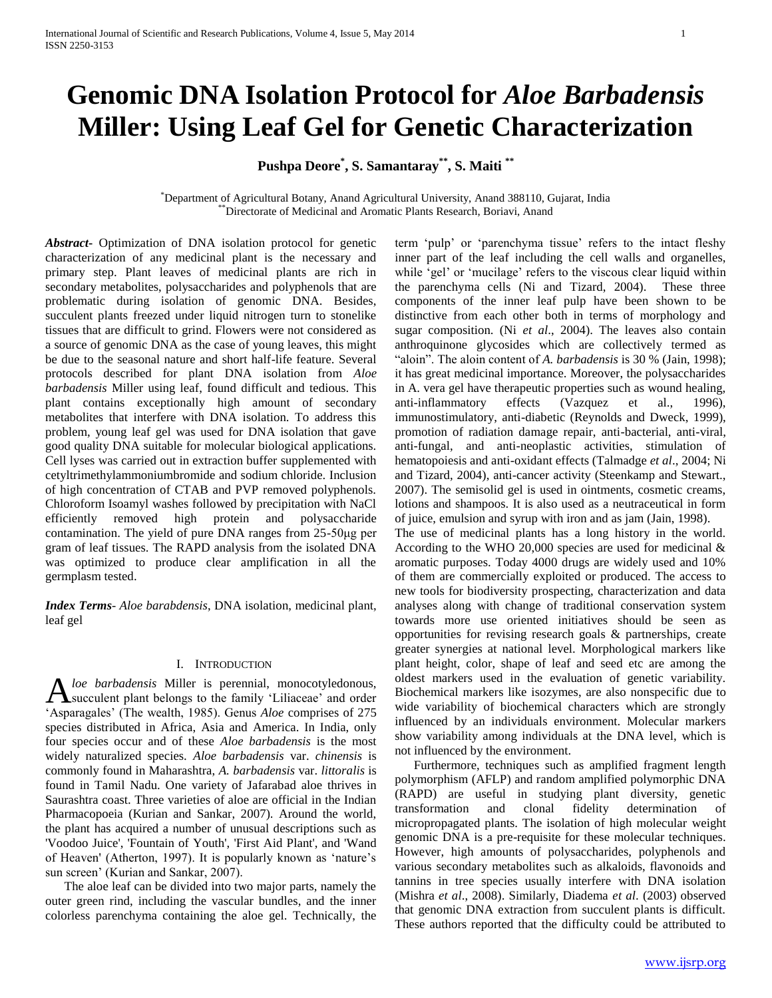# **Genomic DNA Isolation Protocol for** *Aloe Barbadensis*  **Miller: Using Leaf Gel for Genetic Characterization**

**Pushpa Deore\* , S. Samantaray\*\*, S. Maiti \*\***

\*Department of Agricultural Botany, Anand Agricultural University, Anand 388110, Gujarat, India \*\*Directorate of Medicinal and Aromatic Plants Research, Boriavi, Anand

*Abstract***-** Optimization of DNA isolation protocol for genetic characterization of any medicinal plant is the necessary and primary step. Plant leaves of medicinal plants are rich in secondary metabolites, polysaccharides and polyphenols that are problematic during isolation of genomic DNA. Besides, succulent plants freezed under liquid nitrogen turn to stonelike tissues that are difficult to grind. Flowers were not considered as a source of genomic DNA as the case of young leaves, this might be due to the seasonal nature and short half-life feature. Several protocols described for plant DNA isolation from *Aloe barbadensis* Miller using leaf, found difficult and tedious. This plant contains exceptionally high amount of secondary metabolites that interfere with DNA isolation. To address this problem, young leaf gel was used for DNA isolation that gave good quality DNA suitable for molecular biological applications. Cell lyses was carried out in extraction buffer supplemented with cetyltrimethylammoniumbromide and sodium chloride. Inclusion of high concentration of CTAB and PVP removed polyphenols. Chloroform Isoamyl washes followed by precipitation with NaCl efficiently removed high protein and polysaccharide contamination. The yield of pure DNA ranges from 25-50μg per gram of leaf tissues. The RAPD analysis from the isolated DNA was optimized to produce clear amplification in all the germplasm tested.

*Index Terms*- *Aloe barabdensis*, DNA isolation, medicinal plant, leaf gel

#### I. INTRODUCTION

*loe barbadensis* Miller is perennial, monocotyledonous, succulent plant belongs to the family 'Liliaceae' and order A loe barbadensis Miller is perennial, monocotyledonous, Succulent plant belongs to the family 'Liliaceae' and order 'Asparagales' (The wealth, 1985). Genus *Aloe* comprises of 275 species distributed in Africa, Asia and America. In India, only four species occur and of these *Aloe barbadensis* is the most widely naturalized species. *Aloe barbadensis* var. *chinensis* is commonly found in Maharashtra, *A. barbadensis* var. *littoralis* is found in Tamil Nadu. One variety of Jafarabad aloe thrives in Saurashtra coast. Three varieties of aloe are official in the Indian Pharmacopoeia (Kurian and Sankar, 2007). Around the world, the plant has acquired a number of unusual descriptions such as 'Voodoo Juice', 'Fountain of Youth', 'First Aid Plant', and 'Wand of Heaven' (Atherton, 1997). It is popularly known as 'nature's sun screen' (Kurian and Sankar, 2007).

 The aloe leaf can be divided into two major parts, namely the outer green rind, including the vascular bundles, and the inner colorless parenchyma containing the aloe gel. Technically, the term 'pulp' or 'parenchyma tissue' refers to the intact fleshy inner part of the leaf including the cell walls and organelles, while 'gel' or 'mucilage' refers to the viscous clear liquid within the parenchyma cells (Ni and Tizard, 2004). These three components of the inner leaf pulp have been shown to be distinctive from each other both in terms of morphology and sugar composition. (Ni *et al*., 2004). The leaves also contain anthroquinone glycosides which are collectively termed as "aloin". The aloin content of *A. barbadensis* is 30 % (Jain, 1998); it has great medicinal importance. Moreover, the polysaccharides in A. vera gel have therapeutic properties such as wound healing, anti-inflammatory effects (Vazquez et al., 1996), immunostimulatory, anti-diabetic (Reynolds and Dweck, 1999), promotion of radiation damage repair, anti-bacterial, anti-viral, anti-fungal, and anti-neoplastic activities, stimulation of hematopoiesis and anti-oxidant effects (Talmadge *et al*., 2004; Ni and Tizard, 2004), anti-cancer activity (Steenkamp and Stewart., 2007). The semisolid gel is used in ointments, cosmetic creams, lotions and shampoos. It is also used as a neutraceutical in form of juice, emulsion and syrup with iron and as jam (Jain, 1998).

The use of medicinal plants has a long history in the world. According to the WHO 20,000 species are used for medicinal  $\&$ aromatic purposes. Today 4000 drugs are widely used and 10% of them are commercially exploited or produced. The access to new tools for biodiversity prospecting, characterization and data analyses along with change of traditional conservation system towards more use oriented initiatives should be seen as opportunities for revising research goals & partnerships, create greater synergies at national level. Morphological markers like plant height, color, shape of leaf and seed etc are among the oldest markers used in the evaluation of genetic variability. Biochemical markers like isozymes, are also nonspecific due to wide variability of biochemical characters which are strongly influenced by an individuals environment. Molecular markers show variability among individuals at the DNA level, which is not influenced by the environment.

 Furthermore, techniques such as amplified fragment length polymorphism (AFLP) and random amplified polymorphic DNA (RAPD) are useful in studying plant diversity, genetic transformation and clonal fidelity determination of micropropagated plants. The isolation of high molecular weight genomic DNA is a pre-requisite for these molecular techniques. However, high amounts of polysaccharides, polyphenols and various secondary metabolites such as alkaloids, flavonoids and tannins in tree species usually interfere with DNA isolation (Mishra *et al*., 2008). Similarly, Diadema *et al*. (2003) observed that genomic DNA extraction from succulent plants is difficult. These authors reported that the difficulty could be attributed to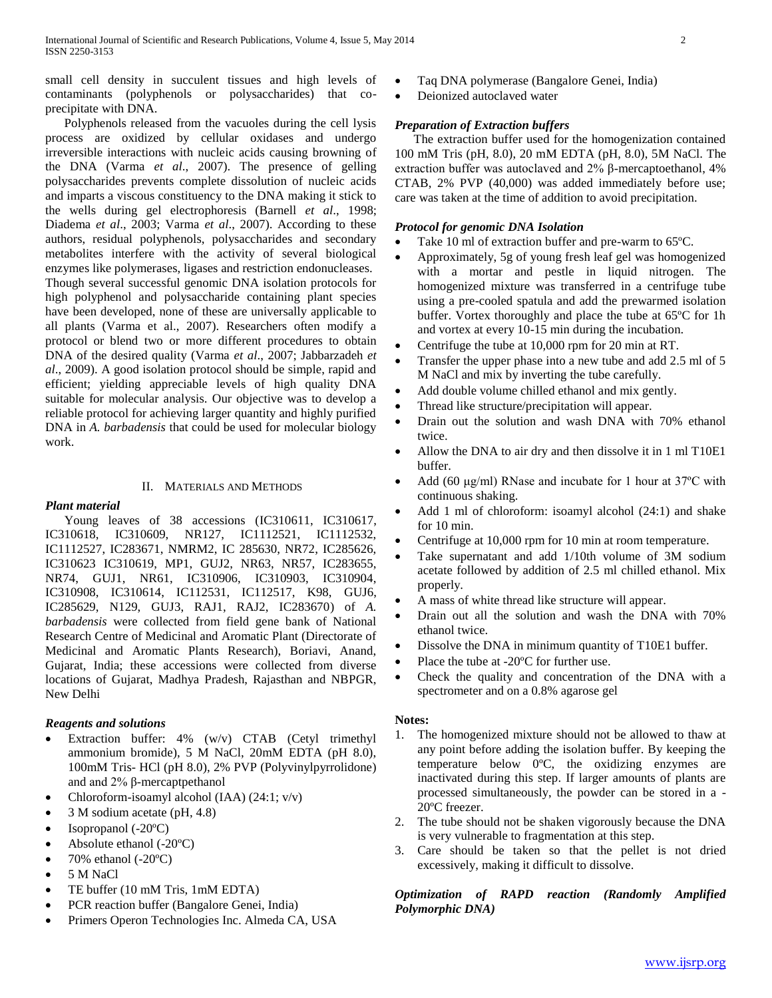small cell density in succulent tissues and high levels of contaminants (polyphenols or polysaccharides) that coprecipitate with DNA.

 Polyphenols released from the vacuoles during the cell lysis process are oxidized by cellular oxidases and undergo irreversible interactions with nucleic acids causing browning of the DNA (Varma *et al*., 2007). The presence of gelling polysaccharides prevents complete dissolution of nucleic acids and imparts a viscous constituency to the DNA making it stick to the wells during gel electrophoresis (Barnell *et al*., 1998; Diadema *et al*., 2003; Varma *et al*., 2007). According to these authors, residual polyphenols, polysaccharides and secondary metabolites interfere with the activity of several biological enzymes like polymerases, ligases and restriction endonucleases. Though several successful genomic DNA isolation protocols for high polyphenol and polysaccharide containing plant species have been developed, none of these are universally applicable to all plants (Varma et al., 2007). Researchers often modify a protocol or blend two or more different procedures to obtain DNA of the desired quality (Varma *et al*., 2007; Jabbarzadeh *et al*., 2009). A good isolation protocol should be simple, rapid and efficient; yielding appreciable levels of high quality DNA suitable for molecular analysis. Our objective was to develop a reliable protocol for achieving larger quantity and highly purified DNA in *A. barbadensis* that could be used for molecular biology work.

## II. MATERIALS AND METHODS

# *Plant material*

 Young leaves of 38 accessions (IC310611, IC310617, IC310618, IC310609, NR127, IC1112521, IC1112532, IC1112527, IC283671, NMRM2, IC 285630, NR72, IC285626, IC310623 IC310619, MP1, GUJ2, NR63, NR57, IC283655, NR74, GUJ1, NR61, IC310906, IC310903, IC310904, IC310908, IC310614, IC112531, IC112517, K98, GUJ6, IC285629, N129, GUJ3, RAJ1, RAJ2, IC283670) of *A. barbadensis* were collected from field gene bank of National Research Centre of Medicinal and Aromatic Plant (Directorate of Medicinal and Aromatic Plants Research), Boriavi, Anand, Gujarat, India; these accessions were collected from diverse locations of Gujarat, Madhya Pradesh, Rajasthan and NBPGR, New Delhi

## *Reagents and solutions*

- Extraction buffer: 4% (w/v) CTAB (Cetyl trimethyl ammonium bromide), 5 M NaCl, 20mM EDTA (pH 8.0), 100mM Tris- HCl (pH 8.0), 2% PVP (Polyvinylpyrrolidone) and and 2% β-mercaptpethanol
- Chloroform-isoamyl alcohol (IAA) (24:1; v/v)
- 3 M sodium acetate (pH, 4.8)
- Isopropanol (-20ºC)
- Absolute ethanol (-20ºC)
- 70% ethanol (-20ºC)
- 5 M NaCl
- TE buffer (10 mM Tris, 1mM EDTA)
- PCR reaction buffer (Bangalore Genei, India)
- Primers Operon Technologies Inc. Almeda CA, USA
- Taq DNA polymerase (Bangalore Genei, India)
- Deionized autoclaved water

# *Preparation of Extraction buffers*

 The extraction buffer used for the homogenization contained 100 mM Tris (pH, 8.0), 20 mM EDTA (pH, 8.0), 5M NaCl. The extraction buffer was autoclaved and 2% β-mercaptoethanol, 4% CTAB, 2% PVP (40,000) was added immediately before use; care was taken at the time of addition to avoid precipitation.

# *Protocol for genomic DNA Isolation*

- Take 10 ml of extraction buffer and pre-warm to 65ºC.
- Approximately, 5g of young fresh leaf gel was homogenized with a mortar and pestle in liquid nitrogen. The homogenized mixture was transferred in a centrifuge tube using a pre-cooled spatula and add the prewarmed isolation buffer. Vortex thoroughly and place the tube at 65ºC for 1h and vortex at every 10-15 min during the incubation.
- Centrifuge the tube at 10,000 rpm for 20 min at RT.
- Transfer the upper phase into a new tube and add 2.5 ml of 5 M NaCl and mix by inverting the tube carefully.
- Add double volume chilled ethanol and mix gently.
- Thread like structure/precipitation will appear.
- Drain out the solution and wash DNA with 70% ethanol twice.
- Allow the DNA to air dry and then dissolve it in 1 ml T10E1 buffer.
- Add (60 μg/ml) RNase and incubate for 1 hour at 37ºC with continuous shaking.
- Add 1 ml of chloroform: isoamyl alcohol (24:1) and shake for 10 min.
- Centrifuge at 10,000 rpm for 10 min at room temperature.
- Take supernatant and add 1/10th volume of 3M sodium acetate followed by addition of 2.5 ml chilled ethanol. Mix properly.
- A mass of white thread like structure will appear.
- Drain out all the solution and wash the DNA with 70% ethanol twice.
- Dissolve the DNA in minimum quantity of T10E1 buffer.
- Place the tube at -20ºC for further use.
- Check the quality and concentration of the DNA with a spectrometer and on a 0.8% agarose gel

## **Notes:**

- 1. The homogenized mixture should not be allowed to thaw at any point before adding the isolation buffer. By keeping the temperature below 0ºC, the oxidizing enzymes are inactivated during this step. If larger amounts of plants are processed simultaneously, the powder can be stored in a - 20ºC freezer.
- 2. The tube should not be shaken vigorously because the DNA is very vulnerable to fragmentation at this step.
- 3. Care should be taken so that the pellet is not dried excessively, making it difficult to dissolve.

*Optimization of RAPD reaction (Randomly Amplified Polymorphic DNA)*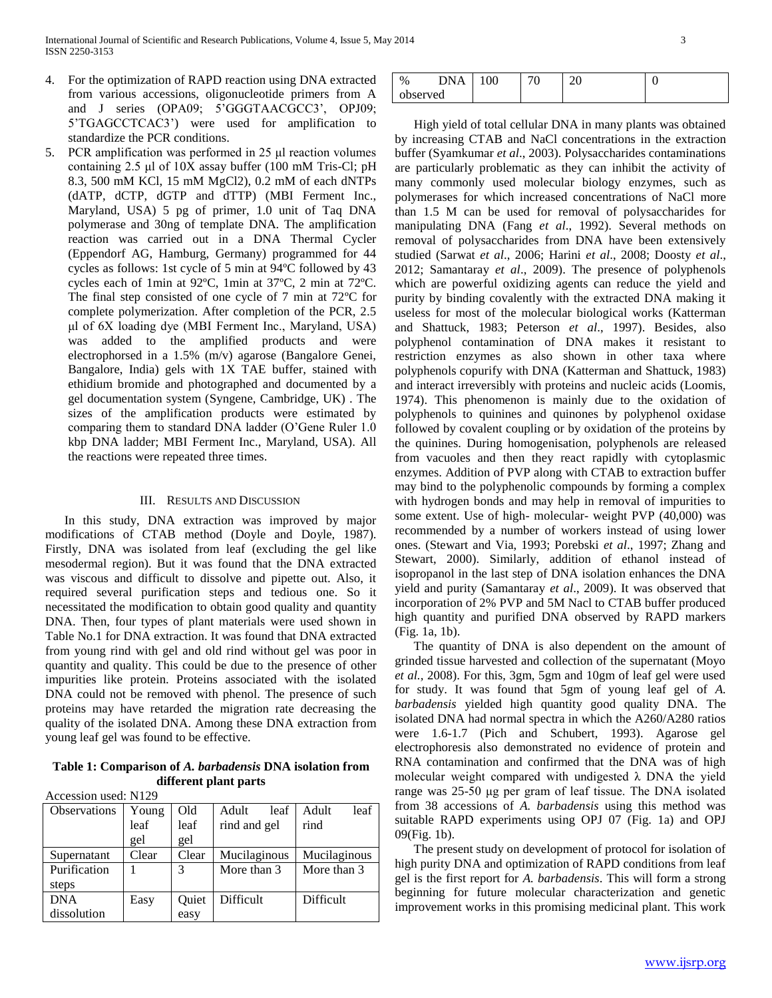- 4. For the optimization of RAPD reaction using DNA extracted from various accessions, oligonucleotide primers from A and J series (OPA09; 5'GGGTAACGCC3', OPJ09; 5'TGAGCCTCAC3') were used for amplification to standardize the PCR conditions.
- 5. PCR amplification was performed in 25 μl reaction volumes containing 2.5 μl of 10X assay buffer (100 mM Tris-Cl; pH 8.3, 500 mM KCl, 15 mM MgCl2), 0.2 mM of each dNTPs (dATP, dCTP, dGTP and dTTP) (MBI Ferment Inc., Maryland, USA) 5 pg of primer, 1.0 unit of Taq DNA polymerase and 30ng of template DNA. The amplification reaction was carried out in a DNA Thermal Cycler (Eppendorf AG, Hamburg, Germany) programmed for 44 cycles as follows: 1st cycle of 5 min at 94ºC followed by 43 cycles each of 1min at 92ºC, 1min at 37ºC, 2 min at 72ºC. The final step consisted of one cycle of 7 min at 72ºC for complete polymerization. After completion of the PCR, 2.5 μl of 6X loading dye (MBI Ferment Inc., Maryland, USA) was added to the amplified products and were electrophorsed in a 1.5% (m/v) agarose (Bangalore Genei, Bangalore, India) gels with 1X TAE buffer, stained with ethidium bromide and photographed and documented by a gel documentation system (Syngene, Cambridge, UK) . The sizes of the amplification products were estimated by comparing them to standard DNA ladder (O'Gene Ruler 1.0 kbp DNA ladder; MBI Ferment Inc., Maryland, USA). All the reactions were repeated three times.

#### III. RESULTS AND DISCUSSION

 In this study, DNA extraction was improved by major modifications of CTAB method (Doyle and Doyle, 1987). Firstly, DNA was isolated from leaf (excluding the gel like mesodermal region). But it was found that the DNA extracted was viscous and difficult to dissolve and pipette out. Also, it required several purification steps and tedious one. So it necessitated the modification to obtain good quality and quantity DNA. Then, four types of plant materials were used shown in Table No.1 for DNA extraction. It was found that DNA extracted from young rind with gel and old rind without gel was poor in quantity and quality. This could be due to the presence of other impurities like protein. Proteins associated with the isolated DNA could not be removed with phenol. The presence of such proteins may have retarded the migration rate decreasing the quality of the isolated DNA. Among these DNA extraction from young leaf gel was found to be effective.

**Table 1: Comparison of** *A. barbadensis* **DNA isolation from different plant parts**

| Accession used: N129 |  |  |  |
|----------------------|--|--|--|
|----------------------|--|--|--|

| Observations | Young | Old   | Adult<br>leaf | leaf<br>Adult |
|--------------|-------|-------|---------------|---------------|
|              | leaf  | leaf  | rind and gel  | rind          |
|              | gel   | gel   |               |               |
| Supernatant  | Clear | Clear | Mucilaginous  | Mucilaginous  |
| Purification |       | 3     | More than 3   | More than 3   |
| steps        |       |       |               |               |
| <b>DNA</b>   | Easy  | Quiet | Difficult     | Difficult     |
| dissolution  |       | easy  |               |               |

| $\%$     | <b>DNA</b> | 100 | ንቦ<br>-- |  |
|----------|------------|-----|----------|--|
| observed |            |     |          |  |

 High yield of total cellular DNA in many plants was obtained by increasing CTAB and NaCl concentrations in the extraction buffer (Syamkumar *et al*., 2003). Polysaccharides contaminations are particularly problematic as they can inhibit the activity of many commonly used molecular biology enzymes, such as polymerases for which increased concentrations of NaCl more than 1.5 M can be used for removal of polysaccharides for manipulating DNA (Fang *et al*., 1992). Several methods on removal of polysaccharides from DNA have been extensively studied (Sarwat *et al*., 2006; Harini *et al*., 2008; Doosty *et al*., 2012; Samantaray *et al*., 2009). The presence of polyphenols which are powerful oxidizing agents can reduce the yield and purity by binding covalently with the extracted DNA making it useless for most of the molecular biological works (Katterman and Shattuck, 1983; Peterson *et al*., 1997). Besides, also polyphenol contamination of DNA makes it resistant to restriction enzymes as also shown in other taxa where polyphenols copurify with DNA (Katterman and Shattuck, 1983) and interact irreversibly with proteins and nucleic acids (Loomis, 1974). This phenomenon is mainly due to the oxidation of polyphenols to quinines and quinones by polyphenol oxidase followed by covalent coupling or by oxidation of the proteins by the quinines. During homogenisation, polyphenols are released from vacuoles and then they react rapidly with cytoplasmic enzymes. Addition of PVP along with CTAB to extraction buffer may bind to the polyphenolic compounds by forming a complex with hydrogen bonds and may help in removal of impurities to some extent. Use of high- molecular- weight PVP (40,000) was recommended by a number of workers instead of using lower ones. (Stewart and Via, 1993; Porebski *et al*., 1997; Zhang and Stewart, 2000). Similarly, addition of ethanol instead of isopropanol in the last step of DNA isolation enhances the DNA yield and purity (Samantaray *et al*., 2009). It was observed that incorporation of 2% PVP and 5M Nacl to CTAB buffer produced high quantity and purified DNA observed by RAPD markers (Fig. 1a, 1b).

 The quantity of DNA is also dependent on the amount of grinded tissue harvested and collection of the supernatant (Moyo *et al.,* 2008). For this, 3gm, 5gm and 10gm of leaf gel were used for study. It was found that 5gm of young leaf gel of *A. barbadensis* yielded high quantity good quality DNA. The isolated DNA had normal spectra in which the A260/A280 ratios were 1.6-1.7 (Pich and Schubert, 1993). Agarose gel electrophoresis also demonstrated no evidence of protein and RNA contamination and confirmed that the DNA was of high molecular weight compared with undigested  $\lambda$  DNA the yield range was 25-50 μg per gram of leaf tissue. The DNA isolated from 38 accessions of *A. barbadensis* using this method was suitable RAPD experiments using OPJ 07 (Fig. 1a) and OPJ 09(Fig. 1b).

 The present study on development of protocol for isolation of high purity DNA and optimization of RAPD conditions from leaf gel is the first report for *A. barbadensis*. This will form a strong beginning for future molecular characterization and genetic improvement works in this promising medicinal plant. This work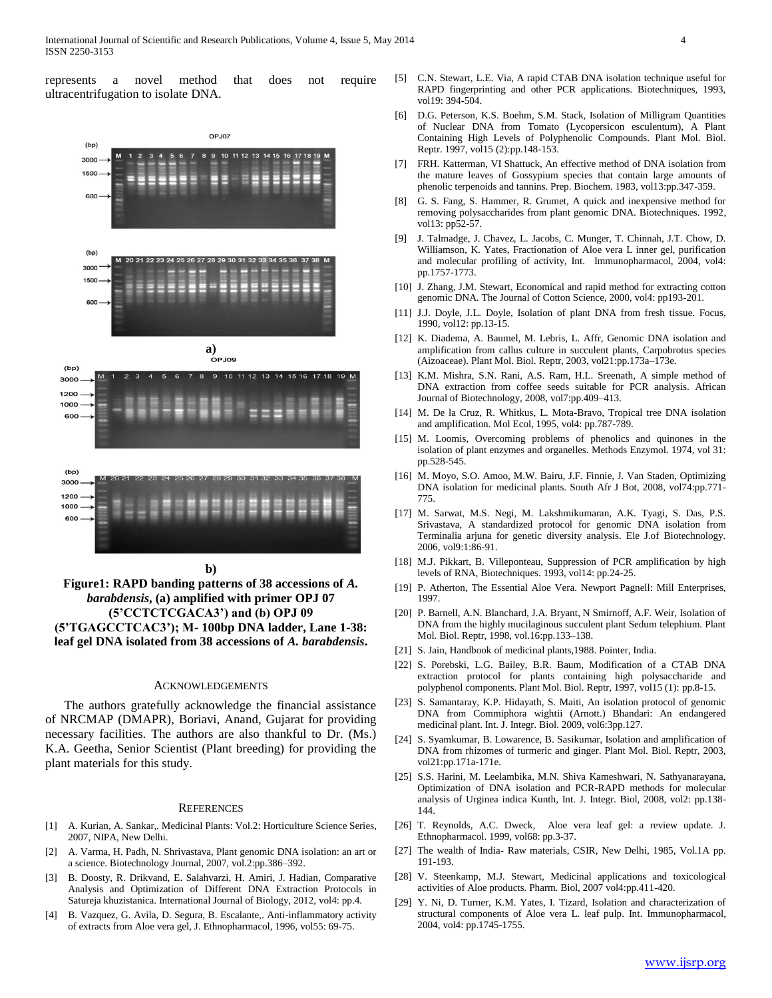represents a novel method that does not require ultracentrifugation to isolate DNA.



**Figure1: RAPD banding patterns of 38 accessions of** *A. barabdensis***, (a) amplified with primer OPJ 07 (5'CCTCTCGACA3') and (b) OPJ 09 (5'TGAGCCTCAC3'); M- 100bp DNA ladder, Lane 1-38: leaf gel DNA isolated from 38 accessions of** *A. barabdensis***.**

#### ACKNOWLEDGEMENTS

 The authors gratefully acknowledge the financial assistance of NRCMAP (DMAPR), Boriavi, Anand, Gujarat for providing necessary facilities. The authors are also thankful to Dr. (Ms.) K.A. Geetha, Senior Scientist (Plant breeding) for providing the plant materials for this study.

#### **REFERENCES**

- [1] A. Kurian, A. Sankar,. Medicinal Plants: Vol.2: Horticulture Science Series, 2007, NIPA, New Delhi.
- [2] A. Varma, H. Padh, N. Shrivastava, Plant genomic DNA isolation: an art or a science. Biotechnology Journal, 2007, vol.2:pp.386–392.
- [3] B. Doosty, R. Drikvand, E. Salahvarzi, H. Amiri, J. Hadian, Comparative Analysis and Optimization of Different DNA Extraction Protocols in Satureja khuzistanica. International Journal of Biology, 2012, vol4: pp.4.
- [4] B. Vazquez, G. Avila, D. Segura, B. Escalante,. Anti-inflammatory activity of extracts from Aloe vera gel, J. Ethnopharmacol, 1996, vol55: 69-75.
- [5] C.N. Stewart, L.E. Via, A rapid CTAB DNA isolation technique useful for RAPD fingerprinting and other PCR applications. Biotechniques, 1993, vol19: 394-504.
- D.G. Peterson, K.S. Boehm, S.M. Stack, Isolation of Milligram Quantities of Nuclear DNA from Tomato (Lycopersicon esculentum), A Plant Containing High Levels of Polyphenolic Compounds. Plant Mol. Biol. Reptr. 1997, vol15 (2):pp.148-153.
- [7] FRH. Katterman, VI Shattuck, An effective method of DNA isolation from the mature leaves of Gossypium species that contain large amounts of phenolic terpenoids and tannins. Prep. Biochem. 1983, vol13:pp.347-359.
- [8] G. S. Fang, S. Hammer, R. Grumet, A quick and inexpensive method for removing polysaccharides from plant genomic DNA. Biotechniques. 1992, vol13: pp52-57.
- [9] J. Talmadge, J. Chavez, L. Jacobs, C. Munger, T. Chinnah, J.T. Chow, D. Williamson, K. Yates, Fractionation of Aloe vera L inner gel, purification and molecular profiling of activity, Int. Immunopharmacol, 2004, vol4: pp.1757-1773.
- [10] J. Zhang, J.M. Stewart, Economical and rapid method for extracting cotton genomic DNA. The Journal of Cotton Science, 2000, vol4: pp193-201.
- [11] J.J. Doyle, J.L. Doyle, Isolation of plant DNA from fresh tissue. Focus, 1990, vol12: pp.13-15.
- [12] K. Diadema, A. Baumel, M. Lebris, L. Affr, Genomic DNA isolation and amplification from callus culture in succulent plants, Carpobrotus species (Aizoaceae). Plant Mol. Biol. Reptr, 2003, vol21:pp.173a–173e.
- [13] K.M. Mishra, S.N. Rani, A.S. Ram, H.L. Sreenath, A simple method of DNA extraction from coffee seeds suitable for PCR analysis. African Journal of Biotechnology, 2008, vol7:pp.409–413.
- [14] M. De la Cruz, R. Whitkus, L. Mota-Bravo, Tropical tree DNA isolation and amplification. Mol Ecol, 1995, vol4: pp.787-789.
- [15] M. Loomis, Overcoming problems of phenolics and quinones in the isolation of plant enzymes and organelles. Methods Enzymol. 1974, vol 31: pp.528-545.
- [16] M. Moyo, S.O. Amoo, M.W. Bairu, J.F. Finnie, J. Van Staden, Optimizing DNA isolation for medicinal plants. South Afr J Bot, 2008, vol74:pp.771- 775.
- [17] M. Sarwat, M.S. Negi, M. Lakshmikumaran, A.K. Tyagi, S. Das, P.S. Srivastava, A standardized protocol for genomic DNA isolation from Terminalia arjuna for genetic diversity analysis. Ele J.of Biotechnology. 2006, vol9:1:86-91.
- [18] M.J. Pikkart, B. Villeponteau, Suppression of PCR amplification by high levels of RNA, Biotechniques. 1993, vol14: pp.24-25.
- [19] P. Atherton, The Essential Aloe Vera. Newport Pagnell: Mill Enterprises, 1997.
- [20] P. Barnell, A.N. Blanchard, J.A. Bryant, N Smirnoff, A.F. Weir, Isolation of DNA from the highly mucilaginous succulent plant Sedum telephium. Plant Mol. Biol. Reptr, 1998, vol.16:pp.133–138.
- [21] S. Jain, Handbook of medicinal plants,1988. Pointer, India.
- [22] S. Porebski, L.G. Bailey, B.R. Baum, Modification of a CTAB DNA extraction protocol for plants containing high polysaccharide and polyphenol components. Plant Mol. Biol. Reptr, 1997, vol15 (1): pp.8-15.
- [23] S. Samantaray, K.P. Hidayath, S. Maiti, An isolation protocol of genomic DNA from Commiphora wightii (Arnott.) Bhandari: An endangered medicinal plant. Int. J. Integr. Biol. 2009, vol6:3pp.127.
- [24] S. Syamkumar, B. Lowarence, B. Sasikumar, Isolation and amplification of DNA from rhizomes of turmeric and ginger. Plant Mol. Biol. Reptr, 2003, vol21:pp.171a-171e.
- [25] S.S. Harini, M. Leelambika, M.N. Shiva Kameshwari, N. Sathyanarayana, Optimization of DNA isolation and PCR-RAPD methods for molecular analysis of Urginea indica Kunth, Int. J. Integr. Biol, 2008, vol2: pp.138- 144.
- [26] T. Reynolds, A.C. Dweck, Aloe vera leaf gel: a review update. J. Ethnopharmacol. 1999, vol68: pp.3-37.
- [27] The wealth of India- Raw materials, CSIR, New Delhi, 1985, Vol.1A pp. 191-193.
- [28] V. Steenkamp, M.J. Stewart, Medicinal applications and toxicological activities of Aloe products. Pharm. Biol, 2007 vol4:pp.411-420.
- [29] Y. Ni, D. Turner, K.M. Yates, I. Tizard, Isolation and characterization of structural components of Aloe vera L. leaf pulp. Int. Immunopharmacol, 2004, vol4: pp.1745-1755.